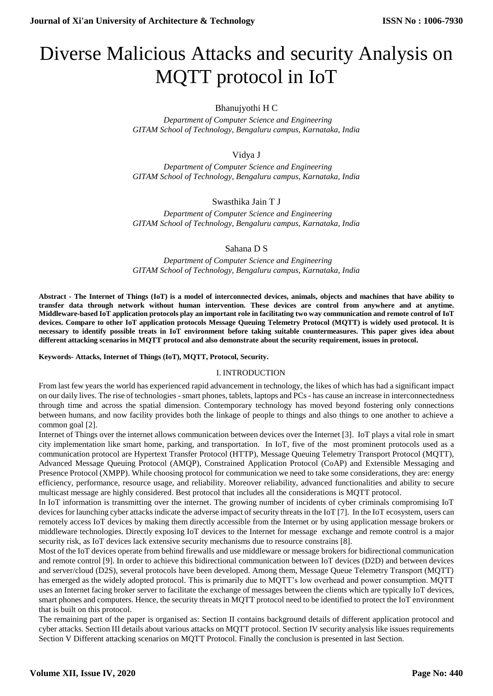# Diverse Malicious Attacks and security Analysis on MQTT protocol in IoT

# Bhanujyothi H C

 *Department of Computer Science and Engineering GITAM School of Technology, Bengaluru campus, Karnataka, India*

# Vidya J

 *Department of Computer Science and Engineering GITAM School of Technology, Bengaluru campus, Karnataka, India*

# Swasthika Jain T J

 *Department of Computer Science and Engineering GITAM School of Technology, Bengaluru campus, Karnataka, India*

## Sahana D S

 *Department of Computer Science and Engineering GITAM School of Technology, Bengaluru campus, Karnataka, India*

**Abstract - The Internet of Things (IoT) is a model of interconnected devices, animals, objects and machines that have ability to transfer data through network without human intervention. These devices are control from anywhere and at anytime. Middleware-based IoT application protocols play an important role in facilitating two way communication and remote control of IoT devices. Compare to other IoT application protocols Message Queuing Telemetry Protocol (MQTT) is widely used protocol. It is necessary to identify possible treats in IoT environment before taking suitable countermeasures. This paper gives idea about different attacking scenarios in MQTT protocol and also demonstrate about the security requirement, issues in protocol.**

#### **Keywords- Attacks, Internet of Things (IoT), MQTT, Protocol, Security.**

#### I. INTRODUCTION

From last few years the world has experienced rapid advancement in technology, the likes of which has had a significant impact on our daily lives. The rise of technologies -smart phones, tablets, laptops and PCs - has cause an increase in interconnectedness through time and across the spatial dimension. Contemporary technology has moved beyond fostering only connections between humans, and now facility provides both the linkage of people to things and also things to one another to achieve a common goal [2].

Internet of Things over the internet allows communication between devices over the Internet [3]. IoT plays a vital role in smart city implementation like smart home, parking, and transportation. In IoT, five of the most prominent protocols used as a communication protocol are Hypertext Transfer Protocol (HTTP), Message Queuing Telemetry Transport Protocol (MQTT), Advanced Message Queuing Protocol (AMQP), Constrained Application Protocol (CoAP) and Extensible Messaging and Presence Protocol (XMPP). While choosing protocol for communication we need to take some considerations, they are: energy efficiency, performance, resource usage, and reliability. Moreover reliability, advanced functionalities and ability to secure multicast message are highly considered. Best protocol that includes all the considerations is MQTT protocol.

In IoT information is transmitting over the internet. The growing number of incidents of cyber criminals compromising IoT devices for launching cyber attacks indicate the adverse impact of security threats in the IoT [7]. In the IoT ecosystem, users can remotely access IoT devices by making them directly accessible from the Internet or by using application message brokers or middleware technologies. Directly exposing IoT devices to the Internet for message exchange and remote control is a major security risk, as IoT devices lack extensive security mechanisms due to resource constrains [8].

Most of the IoT devices operate from behind firewalls and use middleware or message brokers for bidirectional communication and remote control [9]. In order to achieve this bidirectional communication between IoT devices (D2D) and between devices and server/cloud (D2S), several protocols have been developed. Among them, Message Queue Telemetry Transport (MQTT) has emerged as the widely adopted protocol. This is primarily due to MQTT's low overhead and power consumption. MQTT uses an Internet facing broker server to facilitate the exchange of messages between the clients which are typically IoT devices, smart phones and computers. Hence, the security threats in MQTT protocol need to be identified to protect the IoT environment that is built on this protocol.

The remaining part of the paper is organised as: Section II contains background details of different application protocol and cyber attacks. Section III details about various attacks on MQTT protocol. Section IV security analysis like issues requirements Section V Different attacking scenarios on MQTT Protocol. Finally the conclusion is presented in last Section.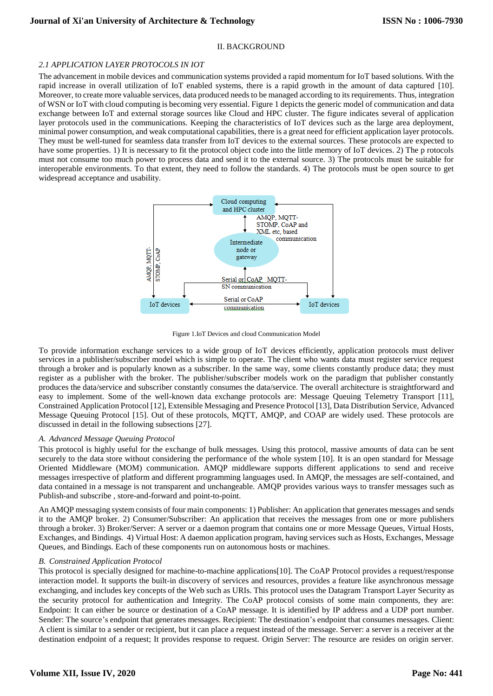## II. BACKGROUND

## *2.1 APPLICATION LAYER PROTOCOLS IN IOT*

The advancement in mobile devices and communication systems provided a rapid momentum for IoT based solutions. With the rapid increase in overall utilization of IoT enabled systems, there is a rapid growth in the amount of data captured [10]. Moreover, to create more valuable services, data produced needs to be managed according to its requirements. Thus, integration of WSN or IoT with cloud computing is becoming very essential. Figure 1 depicts the generic model of communication and data exchange between IoT and external storage sources like Cloud and HPC cluster. The figure indicates several of application layer protocols used in the communications. Keeping the characteristics of IoT devices such as the large area deployment, minimal power consumption, and weak computational capabilities, there is a great need for efficient application layer protocols. They must be well-tuned for seamless data transfer from IoT devices to the external sources. These protocols are expected to have some properties. 1) It is necessary to fit the protocol object code into the little memory of IoT devices. 2) The p rotocols must not consume too much power to process data and send it to the external source. 3) The protocols must be suitable for interoperable environments. To that extent, they need to follow the standards. 4) The protocols must be open source to get widespread acceptance and usability.



Figure 1.IoT Devices and cloud Communication Model

To provide information exchange services to a wide group of IoT devices efficiently, application protocols must deliver services in a publisher/subscriber model which is simple to operate. The client who wants data must register service request through a broker and is popularly known as a subscriber. In the same way, some clients constantly produce data; they must register as a publisher with the broker. The publisher/subscriber models work on the paradigm that publisher constantly produces the data/service and subscriber constantly consumes the data/service. The overall architecture is straightforward and easy to implement. Some of the well-known data exchange protocols are: Message Queuing Telemetry Transport [11], Constrained Application Protocol [12], Extensible Messaging and Presence Protocol [13], Data Distribution Service, Advanced Message Queuing Protocol [15]. Out of these protocols, MQTT, AMQP, and COAP are widely used. These protocols are discussed in detail in the following subsections [27].

#### *A. Advanced Message Queuing Protocol*

This protocol is highly useful for the exchange of bulk messages. Using this protocol, massive amounts of data can be sent securely to the data store without considering the performance of the whole system [10]. It is an open standard for Message Oriented Middleware (MOM) communication. AMQP middleware supports different applications to send and receive messages irrespective of platform and different programming languages used. In AMQP, the messages are self-contained, and data contained in a message is not transparent and unchangeable. AMQP provides various ways to transfer messages such as Publish-and subscribe , store-and-forward and point-to-point.

An AMQP messaging system consists of four main components: 1) Publisher: An application that generates messages and sends it to the AMQP broker. 2) Consumer/Subscriber: An application that receives the messages from one or more publishers through a broker. 3) Broker/Server: A server or a daemon program that contains one or more Message Queues, Virtual Hosts, Exchanges, and Bindings. 4) Virtual Host: A daemon application program, having services such as Hosts, Exchanges, Message Queues, and Bindings. Each of these components run on autonomous hosts or machines.

## *B. Constrained Application Protocol*

This protocol is specially designed for machine-to-machine applications[10]. The CoAP Protocol provides a request/response interaction model. It supports the built-in discovery of services and resources, provides a feature like asynchronous message exchanging, and includes key concepts of the Web such as URIs. This protocol uses the Datagram Transport Layer Security as the security protocol for authentication and Integrity. The CoAP protocol consists of some main components, they are: Endpoint: It can either be source or destination of a CoAP message. It is identified by IP address and a UDP port number. Sender: The source's endpoint that generates messages. Recipient: The destination's endpoint that consumes messages. Client: A client is similar to a sender or recipient, but it can place a request instead of the message. Server: a server is a receiver at the destination endpoint of a request; It provides response to request. Origin Server: The resource are resides on origin server.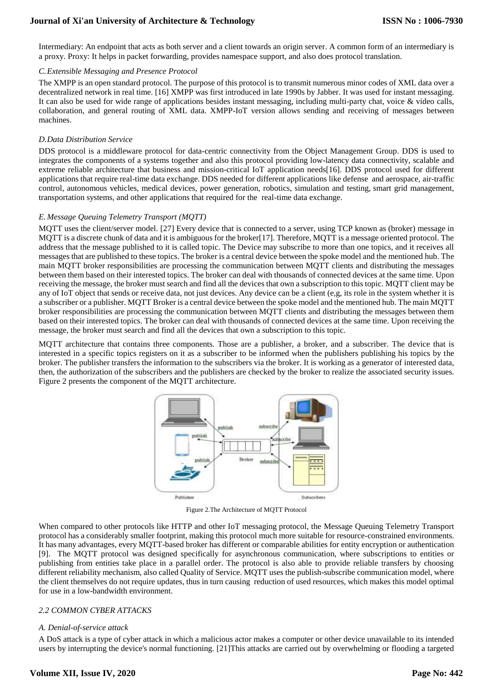Intermediary: An endpoint that acts as both server and a client towards an origin server. A common form of an intermediary is a proxy. Proxy: It helps in packet forwarding, provides namespace support, and also does protocol translation.

## *C.Extensible Messaging and Presence Protocol*

The XMPP is an open standard protocol. The purpose of this protocol is to transmit numerous minor codes of XML data over a decentralized network in real time. [16] XMPP was first introduced in late 1990s by Jabber. It was used for instant messaging. It can also be used for wide range of applications besides instant messaging, including multi-party chat, voice & video calls, collaboration, and general routing of XML data. XMPP-IoT version allows sending and receiving of messages between machines.

## *D.Data Distribution Service*

DDS protocol is a middleware protocol for data-centric connectivity from the Object Management Group. DDS is used to integrates the components of a systems together and also this protocol providing low-latency data connectivity, scalable and extreme reliable architecture that business and mission-critical IoT application needs[16]. DDS protocol used for different applications that require real-time data exchange. DDS needed for different applications like defense and aerospace, air-traffic control, autonomous vehicles, medical devices, power generation, robotics, simulation and testing, smart grid management, transportation systems, and other applications that required for the real-time data exchange.

## *E. Message Queuing Telemetry Transport (MQTT)*

MQTT uses the client/server model. [27] Every device that is connected to a server, using TCP known as (broker) message in MQTT is a discrete chunk of data and it is ambiguous for the broker[17]. Therefore, MQTT is a message oriented protocol. The address that the message published to it is called topic. The Device may subscribe to more than one topics, and it receives all messages that are published to these topics. The broker is a central device between the spoke model and the mentioned hub. The main MQTT broker responsibilities are processing the communication between MQTT clients and distributing the messages between them based on their interested topics. The broker can deal with thousands of connected devices at the same time. Upon receiving the message, the broker must search and find all the devices that own a subscription to this topic. MQTT client may be any of IoT object that sends or receive data, not just devices. Any device can be a client (e,g, its role in the system whether it is a subscriber or a publisher. MQTT Broker is a central device between the spoke model and the mentioned hub. The main MQTT broker responsibilities are processing the communication between MQTT clients and distributing the messages between them based on their interested topics. The broker can deal with thousands of connected devices at the same time. Upon receiving the message, the broker must search and find all the devices that own a subscription to this topic.

MQTT architecture that contains three components. Those are a publisher, a broker, and a subscriber. The device that is interested in a specific topics registers on it as a subscriber to be informed when the publishers publishing his topics by the broker. The publisher transfers the information to the subscribers via the broker. It is working as a generator of interested data, then, the authorization of the subscribers and the publishers are checked by the broker to realize the associated security issues. Figure 2 presents the component of the MQTT architecture.



Figure 2.The Architecture of MQTT Protocol

When compared to other protocols like HTTP and other IoT messaging protocol, the Message Queuing Telemetry Transport protocol has a considerably smaller footprint, making this protocol much more suitable for resource-constrained environments. It has many advantages, every MQTT-based broker has different or comparable abilities for entity encryption or authentication [9]. The MQTT protocol was designed specifically for asynchronous communication, where subscriptions to entities or publishing from entities take place in a parallel order. The protocol is also able to provide reliable transfers by choosing different reliability mechanism, also called Quality of Service. MQTT uses the publish-subscribe communication model, where the client themselves do not require updates, thus in turn causing reduction of used resources, which makes this model optimal for use in a low-bandwidth environment.

#### *2.2 COMMON CYBER ATTACKS*

#### *A. Denial-of-service attack*

A DoS attack is a type of cyber attack in which a malicious actor makes a computer or other device unavailable to its intended users by interrupting the device's normal functioning. [21]This attacks are carried out by overwhelming or flooding a targeted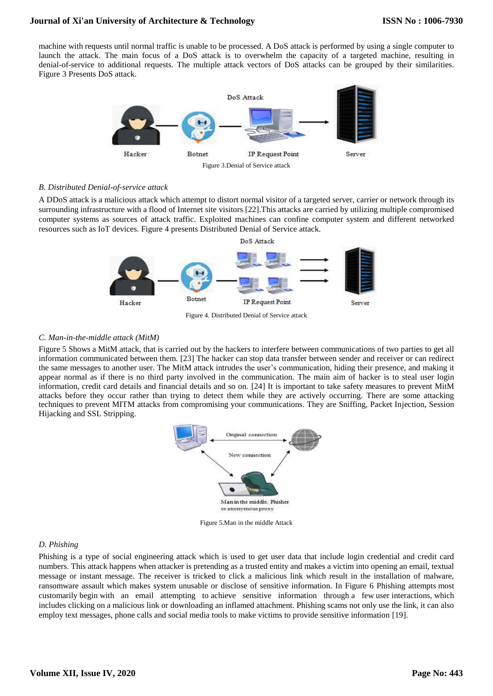machine with requests until normal traffic is unable to be processed. A DoS attack is performed by using a single computer to launch the attack. The main focus of a DoS attack is to overwhelm the capacity of a targeted machine, resulting in denial-of-service to additional requests. The multiple attack vectors of DoS attacks can be grouped by their similarities. Figure 3 Presents DoS attack.



## *B. Distributed Denial-of-service attack*

A DDoS attack is a malicious attack which attempt to distort normal visitor of a targeted server, carrier or network through its surrounding infrastructure with a flood of Internet site visitors [22].This attacks are carried by utilizing multiple compromised computer systems as sources of attack traffic. Exploited machines can confine computer system and different networked resources such as IoT devices. Figure 4 presents Distributed Denial of Service attack.



Figure 4. Distributed Denial of Service attack

## *C. Man-in-the-middle attack (MitM)*

Figure 5 Shows a MitM attack, that is carried out by the hackers to interfere between communications of two parties to get all information communicated between them. [23] The hacker can stop data transfer between sender and receiver or can redirect the same messages to another user. The MitM attack intrudes the user's communication, hiding their presence, and making it appear normal as if there is no third party involved in the communication. The main aim of hacker is to steal user login information, credit card details and financial details and so on. [24] It is important to take safety measures to prevent MitM attacks before they occur rather than trying to detect them while they are actively occurring. There are some attacking techniques to prevent MITM attacks from compromising your communications. They are Sniffing, Packet Injection, Session Hijacking and SSL Stripping.



Figure 5.Man in the middle Attack

## *D. Phishing*

Phishing is a type of social engineering attack which is used to get user data that include login credential and credit card numbers. This attack happens when attacker is pretending as a trusted entity and makes a victim into opening an email, textual message or instant message. The receiver is tricked to click a malicious link which result in the installation of malware, ransomware assault which makes system unusable or disclose of sensitive information. In Figure 6 Phishing attempts most customarily begin with an email attempting to achieve sensitive information through a few user interactions, which includes clicking on a malicious link or downloading an inflamed attachment. Phishing scams not only use the link, it can also employ text messages, phone calls and social media tools to make victims to provide sensitive information [19].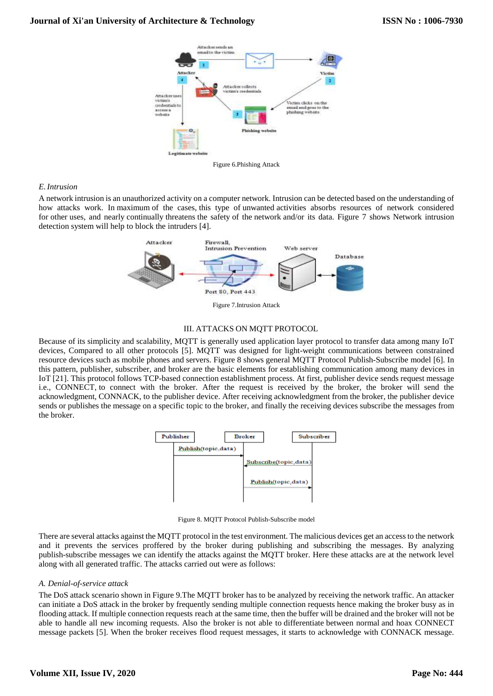

Figure 6.Phishing Attack

## *E.Intrusion*

A network intrusion is an unauthorized activity on a computer network. Intrusion can be detected based on the understanding of how attacks work. In maximum of the cases, this type of unwanted activities absorbs resources of network considered for other uses, and nearly continually threatens the safety of the network and/or its data. Figure 7 shows Network intrusion detection system will help to block the intruders [4].



Figure 7.Intrusion Attack

## III. ATTACKS ON MQTT PROTOCOL

Because of its simplicity and scalability, MQTT is generally used application layer protocol to transfer data among many IoT devices, Compared to all other protocols [5]. MQTT was designed for light-weight communications between constrained resource devices such as mobile phones and servers. Figure 8 shows general MQTT Protocol Publish-Subscribe model [6]. In this pattern, publisher, subscriber, and broker are the basic elements for establishing communication among many devices in IoT [21]. This protocol follows TCP-based connection establishment process. At first, publisher device sends request message i.e., CONNECT, to connect with the broker. After the request is received by the broker, the broker will send the acknowledgment, CONNACK, to the publisher device. After receiving acknowledgment from the broker, the publisher device sends or publishes the message on a specific topic to the broker, and finally the receiving devices subscribe the messages from the broker.



Figure 8. MQTT Protocol Publish-Subscribe model

There are several attacks against the MQTT protocol in the test environment. The malicious devices get an access to the network and it prevents the services proffered by the broker during publishing and subscribing the messages. By analyzing publish-subscribe messages we can identify the attacks against the MQTT broker. Here these attacks are at the network level along with all generated traffic. The attacks carried out were as follows:

#### *A. Denial-of-service attack*

The DoS attack scenario shown in Figure 9.The MQTT broker has to be analyzed by receiving the network traffic. An attacker can initiate a DoS attack in the broker by frequently sending multiple connection requests hence making the broker busy as in flooding attack. If multiple connection requests reach at the same time, then the buffer will be drained and the broker will not be able to handle all new incoming requests. Also the broker is not able to differentiate between normal and hoax CONNECT message packets [5]. When the broker receives flood request messages, it starts to acknowledge with CONNACK message.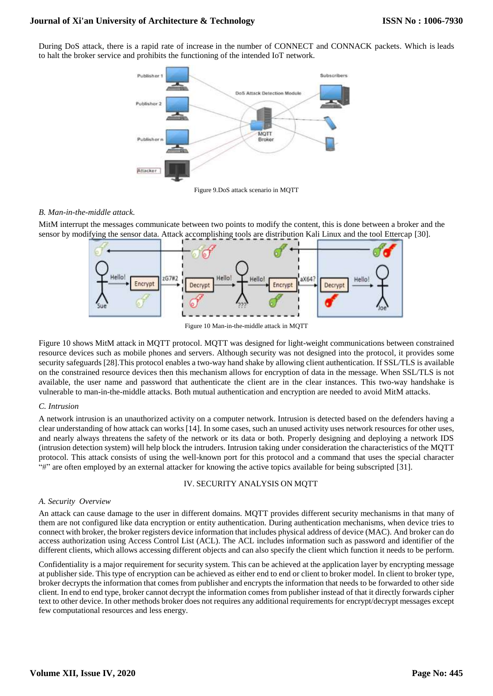During DoS attack, there is a rapid rate of increase in the number of CONNECT and CONNACK packets. Which is leads to halt the broker service and prohibits the functioning of the intended IoT network.



Figure 9.DoS attack scenario in MQTT

## *B. Man-in-the-middle attack.*

MitM interrupt the messages communicate between two points to modify the content, this is done between a broker and the sensor by modifying the sensor data. Attack accomplishing tools are distribution Kali Linux and the tool Ettercap [30].



Figure 10 Man-in-the-middle attack in MQTT

Figure 10 shows MitM attack in MQTT protocol. MQTT was designed for light-weight communications between constrained resource devices such as mobile phones and servers. Although security was not designed into the protocol, it provides some security safeguards [28].This protocol enables a two-way hand shake by allowing client authentication. If SSL/TLS is available on the constrained resource devices then this mechanism allows for encryption of data in the message. When SSL/TLS is not available, the user name and password that authenticate the client are in the clear instances. This two-way handshake is vulnerable to man-in-the-middle attacks. Both mutual authentication and encryption are needed to avoid MitM attacks.

## *C. Intrusion*

A network intrusion is an unauthorized activity on a computer network. Intrusion is detected based on the defenders having a clear understanding of how attack can works [14]. In some cases, such an unused activity uses network resources for other uses, and nearly always threatens the safety of the network or its data or both. Properly designing and deploying a network IDS (intrusion detection system) will help block the intruders. Intrusion taking under consideration the characteristics of the MQTT protocol. This attack consists of using the well-known port for this protocol and a command that uses the special character "#" are often employed by an external attacker for knowing the active topics available for being subscripted [31].

## IV. SECURITY ANALYSIS ON MQTT

#### *A. Security Overview*

An attack can cause damage to the user in different domains. MQTT provides different security mechanisms in that many of them are not configured like data encryption or entity authentication. During authentication mechanisms, when device tries to connect with broker, the broker registers device information that includes physical address of device (MAC). And broker can do access authorization using Access Control List (ACL). The ACL includes information such as password and identifier of the different clients, which allows accessing different objects and can also specify the client which function it needs to be perform.

Confidentiality is a major requirement for security system. This can be achieved at the application layer by encrypting message at publisher side. This type of encryption can be achieved as either end to end or client to broker model. In client to broker type, broker decrypts the information that comes from publisher and encrypts the information that needs to be forwarded to other side client. In end to end type, broker cannot decrypt the information comes from publisher instead of that it directly forwards cipher text to other device. In other methods broker does not requires any additional requirements for encrypt/decrypt messages except few computational resources and less energy.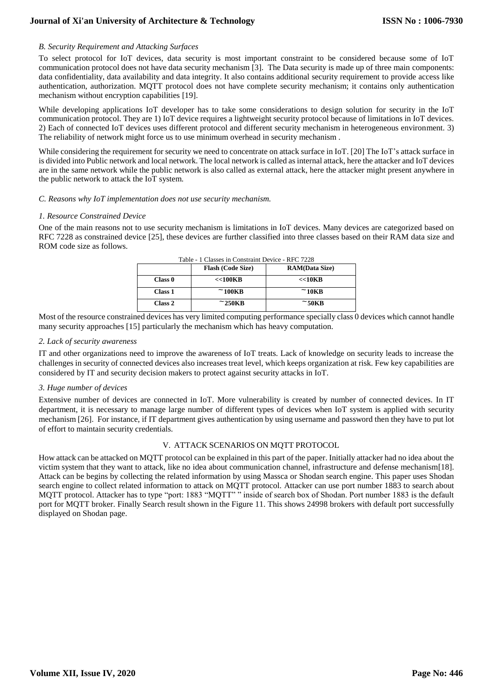## *B. Security Requirement and Attacking Surfaces*

To select protocol for IoT devices, data security is most important constraint to be considered because some of IoT communication protocol does not have data security mechanism [3]. The Data security is made up of three main components: data confidentiality, data availability and data integrity. It also contains additional security requirement to provide access like authentication, authorization. MQTT protocol does not have complete security mechanism; it contains only authentication mechanism without encryption capabilities [19].

While developing applications IoT developer has to take some considerations to design solution for security in the IoT communication protocol. They are 1) IoT device requires a lightweight security protocol because of limitations in IoT devices. 2) Each of connected IoT devices uses different protocol and different security mechanism in heterogeneous environment. 3) The reliability of network might force us to use minimum overhead in security mechanism .

While considering the requirement for security we need to concentrate on attack surface in IoT. [20] The IoT's attack surface in is divided into Public network and local network. The local network is called as internal attack, here the attacker and IoT devices are in the same network while the public network is also called as external attack, here the attacker might present anywhere in the public network to attack the IoT system.

#### *C. Reasons why IoT implementation does not use security mechanism.*

#### *1. Resource Constrained Device*

One of the main reasons not to use security mechanism is limitations in IoT devices. Many devices are categorized based on RFC 7228 as constrained device [25], these devices are further classified into three classes based on their RAM data size and ROM code size as follows.

| Table - 1 Classes in Constraint Device - RFC 7228 |                          |                       |  |  |
|---------------------------------------------------|--------------------------|-----------------------|--|--|
|                                                   | <b>Flash (Code Size)</b> | <b>RAM(Data Size)</b> |  |  |
| Class <sub>0</sub>                                | <<100KB                  | <<10KB                |  |  |
| Class 1                                           | $~100$ KB                | $~10\textrm{KB}$      |  |  |
| Class 2                                           | $\simeq$ 250KB           | $\simeq$ 50KB         |  |  |

Most of the resource constrained devices has very limited computing performance specially class 0 devices which cannot handle many security approaches [15] particularly the mechanism which has heavy computation.

#### *2. Lack of security awareness*

IT and other organizations need to improve the awareness of IoT treats. Lack of knowledge on security leads to increase the challenges in security of connected devices also increases treat level, which keeps organization at risk. Few key capabilities are considered by IT and security decision makers to protect against security attacks in IoT.

#### *3. Huge number of devices*

Extensive number of devices are connected in IoT. More vulnerability is created by number of connected devices. In IT department, it is necessary to manage large number of different types of devices when IoT system is applied with security mechanism [26]. For instance, if IT department gives authentication by using username and password then they have to put lot of effort to maintain security credentials.

#### V. ATTACK SCENARIOS ON MQTT PROTOCOL

How attack can be attacked on MQTT protocol can be explained in this part of the paper. Initially attacker had no idea about the victim system that they want to attack, like no idea about communication channel, infrastructure and defense mechanism[18]. Attack can be begins by collecting the related information by using Massca or Shodan search engine. This paper uses Shodan search engine to collect related information to attack on MQTT protocol. Attacker can use port number 1883 to search about MQTT protocol. Attacker has to type "port: 1883 "MQTT" " inside of search box of Shodan. Port number 1883 is the default port for MQTT broker. Finally Search result shown in the Figure 11. This shows 24998 brokers with default port successfully displayed on Shodan page.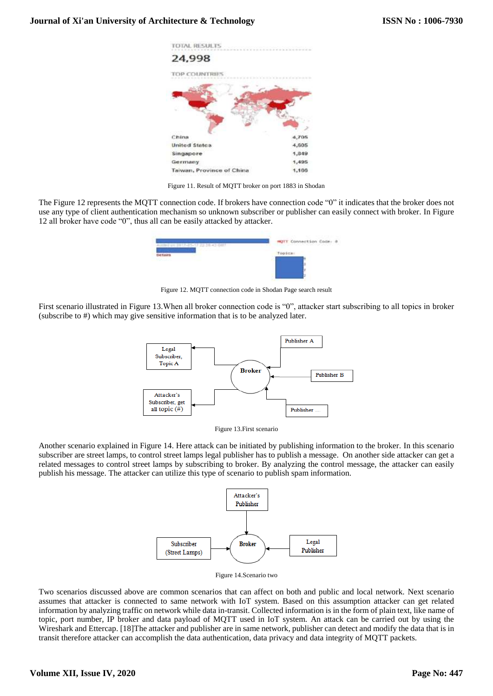

Figure 11. Result of MQTT broker on port 1883 in Shodan

The Figure 12 represents the MQTT connection code. If brokers have connection code "0" it indicates that the broker does not use any type of client authentication mechanism so unknown subscriber or publisher can easily connect with broker. In Figure 12 all broker have code "0", thus all can be easily attacked by attacker.



Figure 12. MQTT connection code in Shodan Page search result

First scenario illustrated in Figure 13.When all broker connection code is "0", attacker start subscribing to all topics in broker (subscribe to #) which may give sensitive information that is to be analyzed later.



Figure 13.First scenario

Another scenario explained in Figure 14. Here attack can be initiated by publishing information to the broker. In this scenario subscriber are street lamps, to control street lamps legal publisher has to publish a message. On another side attacker can get a related messages to control street lamps by subscribing to broker. By analyzing the control message, the attacker can easily publish his message. The attacker can utilize this type of scenario to publish spam information.



Figure 14.Scenario two

Two scenarios discussed above are common scenarios that can affect on both and public and local network. Next scenario assumes that attacker is connected to same network with IoT system. Based on this assumption attacker can get related information by analyzing traffic on network while data in-transit. Collected information is in the form of plain text, like name of topic, port number, IP broker and data payload of MQTT used in IoT system. An attack can be carried out by using the Wireshark and Ettercap. [18]The attacker and publisher are in same network, publisher can detect and modify the data that is in transit therefore attacker can accomplish the data authentication, data privacy and data integrity of MQTT packets.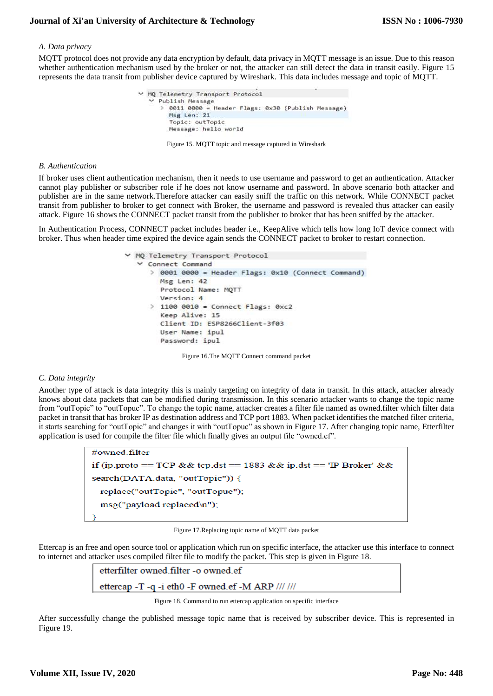## *A. Data privacy*

MQTT protocol does not provide any data encryption by default, data privacy in MQTT message is an issue. Due to this reason whether authentication mechanism used by the broker or not, the attacker can still detect the data in transit easily. Figure 15 represents the data transit from publisher device captured by Wireshark. This data includes message and topic of MQTT.

|  | ₩ MQ Telemetry Transport Protocol                               |  |
|--|-----------------------------------------------------------------|--|
|  | ▽ Publish Message                                               |  |
|  | 0011 0000 = Header Flags: 0x30 (Publish Message)<br>Msg Len: 21 |  |
|  | Topic: outTopic                                                 |  |
|  | Message: hello world                                            |  |

Figure 15. MQTT topic and message captured in Wireshark

#### *B. Authentication*

If broker uses client authentication mechanism, then it needs to use username and password to get an authentication. Attacker cannot play publisher or subscriber role if he does not know username and password. In above scenario both attacker and publisher are in the same network.Therefore attacker can easily sniff the traffic on this network. While CONNECT packet transit from publisher to broker to get connect with Broker, the username and password is revealed thus attacker can easily attack. Figure 16 shows the CONNECT packet transit from the publisher to broker that has been sniffed by the attacker.

In Authentication Process, CONNECT packet includes header i.e., KeepAlive which tells how long IoT device connect with broker. Thus when header time expired the device again sends the CONNECT packet to broker to restart connection.

> MQ Telemetry Transport Protocol Connect Command > 0001 0000 = Header Flags: 0x10 (Connect Command) Msg Len: 42 Protocol Name: MOTT Version: 4  $\geq$  1100 0010 = Connect Flags: 0xc2 Keep Alive: 15 Client ID: ESP8266Client-3f03 User Name: ipul Password: ipul

Figure 16.The MQTT Connect command packet

## *C. Data integrity*

Another type of attack is data integrity this is mainly targeting on integrity of data in transit. In this attack, attacker already knows about data packets that can be modified during transmission. In this scenario attacker wants to change the topic name from "outTopic" to "outTopuc". To change the topic name, attacker creates a filter file named as owned.filter which filter data packet in transit that has broker IP as destination address and TCP port 1883. When packet identifies the matched filter criteria, it starts searching for "outTopic" and changes it with "outTopuc" as shown in Figure 17. After changing topic name, Etterfilter application is used for compile the filter file which finally gives an output file "owned.ef".

| #owned filter                                                      |  |  |
|--------------------------------------------------------------------|--|--|
| if (ip proto == TCP && tcp dst == 1883 && ip dst == 'IP Broker' && |  |  |
| $search(DATA.data, "outTopic"))$ {                                 |  |  |
| replace("outTopic", "outTopuc");                                   |  |  |
| $msg("payload replaced\n'n")$ ;                                    |  |  |
|                                                                    |  |  |

Figure 17.Replacing topic name of MQTT data packet

Ettercap is an free and open source tool or application which run on specific interface, the attacker use this interface to connect to internet and attacker uses compiled filter file to modify the packet. This step is given in Figure 18.



Figure 18. Command to run ettercap application on specific interface

After successfully change the published message topic name that is received by subscriber device. This is represented in Figure 19.